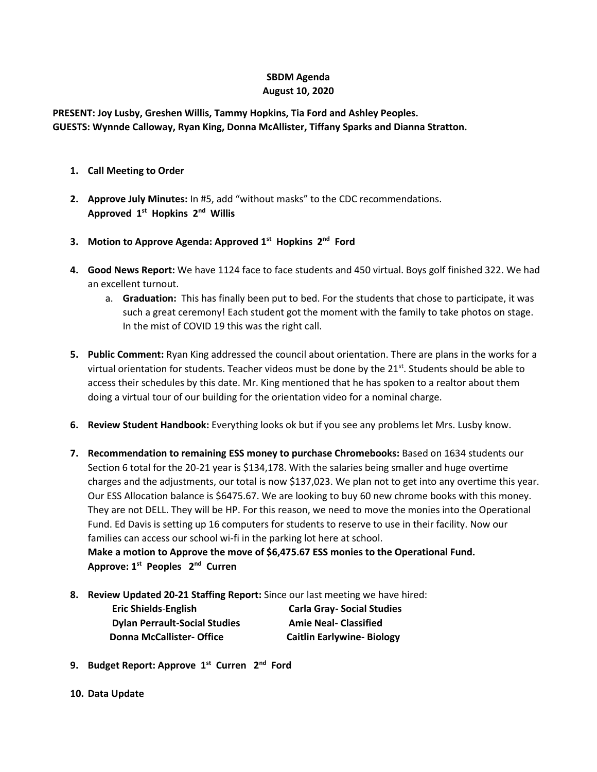## **SBDM Agenda August 10, 2020**

**PRESENT: Joy Lusby, Greshen Willis, Tammy Hopkins, Tia Ford and Ashley Peoples. GUESTS: Wynnde Calloway, Ryan King, Donna McAllister, Tiffany Sparks and Dianna Stratton.**

- **1. Call Meeting to Order**
- **2. Approve July Minutes:** In #5, add "without masks" to the CDC recommendations. **Approved 1st Hopkins 2nd Willis**
- **3. Motion to Approve Agenda: Approved 1st Hopkins 2nd Ford**
- **4. Good News Report:** We have 1124 face to face students and 450 virtual. Boys golf finished 322. We had an excellent turnout.
	- a. **Graduation:** This has finally been put to bed. For the students that chose to participate, it was such a great ceremony! Each student got the moment with the family to take photos on stage. In the mist of COVID 19 this was the right call.
- **5. Public Comment:** Ryan King addressed the council about orientation. There are plans in the works for a virtual orientation for students. Teacher videos must be done by the  $21<sup>st</sup>$ . Students should be able to access their schedules by this date. Mr. King mentioned that he has spoken to a realtor about them doing a virtual tour of our building for the orientation video for a nominal charge.
- **6. Review Student Handbook:** Everything looks ok but if you see any problems let Mrs. Lusby know.
- **7. Recommendation to remaining ESS money to purchase Chromebooks:** Based on 1634 students our Section 6 total for the 20-21 year is \$134,178. With the salaries being smaller and huge overtime charges and the adjustments, our total is now \$137,023. We plan not to get into any overtime this year. Our ESS Allocation balance is \$6475.67. We are looking to buy 60 new chrome books with this money. They are not DELL. They will be HP. For this reason, we need to move the monies into the Operational Fund. Ed Davis is setting up 16 computers for students to reserve to use in their facility. Now our families can access our school wi-fi in the parking lot here at school. **Make a motion to Approve the move of \$6,475.67 ESS monies to the Operational Fund.**

**Approve: 1 st Peoples 2nd Curren**

**8. Review Updated 20-21 Staffing Report:** Since our last meeting we have hired:

 **Eric Shields**-**English Carla Gray- Social Studies Dylan Perrault-Social Studies Amie Neal- Classified Donna McCallister- Office Caitlin Earlywine- Biology** 

- **9. Budget Report: Approve 1st Curren 2nd Ford**
- **10. Data Update**